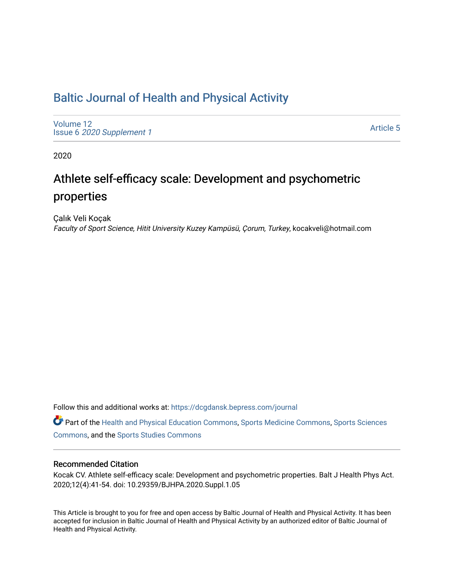# [Baltic Journal of Health and Physical Activity](https://dcgdansk.bepress.com/journal)

[Volume 12](https://dcgdansk.bepress.com/journal/vol12) Issue 6 [2020 Supplement 1](https://dcgdansk.bepress.com/journal/vol12/iss6) 

[Article 5](https://dcgdansk.bepress.com/journal/vol12/iss6/5) 

2020

# Athlete self-efficacy scale: Development and psychometric properties

Çalık Veli Koçak Faculty of Sport Science, Hitit University Kuzey Kampüsü, Çorum, Turkey, kocakveli@hotmail.com

Follow this and additional works at: [https://dcgdansk.bepress.com/journal](https://dcgdansk.bepress.com/journal?utm_source=dcgdansk.bepress.com%2Fjournal%2Fvol12%2Fiss6%2F5&utm_medium=PDF&utm_campaign=PDFCoverPages)

Part of the [Health and Physical Education Commons](http://network.bepress.com/hgg/discipline/1327?utm_source=dcgdansk.bepress.com%2Fjournal%2Fvol12%2Fiss6%2F5&utm_medium=PDF&utm_campaign=PDFCoverPages), [Sports Medicine Commons,](http://network.bepress.com/hgg/discipline/1331?utm_source=dcgdansk.bepress.com%2Fjournal%2Fvol12%2Fiss6%2F5&utm_medium=PDF&utm_campaign=PDFCoverPages) [Sports Sciences](http://network.bepress.com/hgg/discipline/759?utm_source=dcgdansk.bepress.com%2Fjournal%2Fvol12%2Fiss6%2F5&utm_medium=PDF&utm_campaign=PDFCoverPages) [Commons](http://network.bepress.com/hgg/discipline/759?utm_source=dcgdansk.bepress.com%2Fjournal%2Fvol12%2Fiss6%2F5&utm_medium=PDF&utm_campaign=PDFCoverPages), and the [Sports Studies Commons](http://network.bepress.com/hgg/discipline/1198?utm_source=dcgdansk.bepress.com%2Fjournal%2Fvol12%2Fiss6%2F5&utm_medium=PDF&utm_campaign=PDFCoverPages) 

#### Recommended Citation

Kocak CV. Athlete self-efficacy scale: Development and psychometric properties. Balt J Health Phys Act. 2020;12(4):41-54. doi: 10.29359/BJHPA.2020.Suppl.1.05

This Article is brought to you for free and open access by Baltic Journal of Health and Physical Activity. It has been accepted for inclusion in Baltic Journal of Health and Physical Activity by an authorized editor of Baltic Journal of Health and Physical Activity.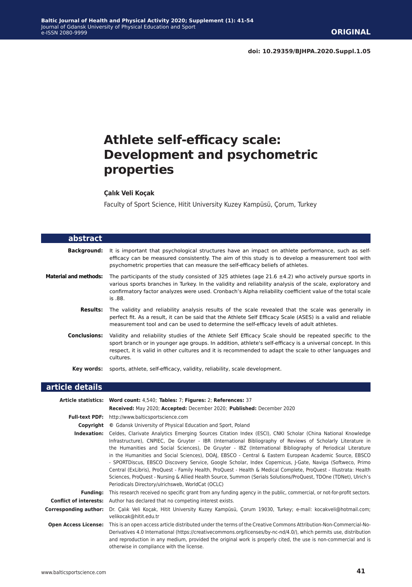# **Athlete self-efficacy scale: Development and psychometric properties**

#### **Çalık Veli Koçak**

Faculty of Sport Science, Hitit University Kuzey Kampüsü, Çorum, Turkey

| abstract                     |                                                                                                                                                                                                                                                                                                                                                 |
|------------------------------|-------------------------------------------------------------------------------------------------------------------------------------------------------------------------------------------------------------------------------------------------------------------------------------------------------------------------------------------------|
| Background:                  | It is important that psychological structures have an impact on athlete performance, such as self-<br>efficacy can be measured consistently. The aim of this study is to develop a measurement tool with<br>psychometric properties that can measure the self-efficacy beliefs of athletes.                                                     |
| <b>Material and methods:</b> | The participants of the study consisted of 325 athletes (age 21.6 $\pm$ 4.2) who actively pursue sports in<br>various sports branches in Turkey. In the validity and reliability analysis of the scale, exploratory and<br>confirmatory factor analyzes were used. Cronbach's Alpha reliability coefficient value of the total scale<br>is .88. |
| <b>Results:</b>              | The validity and reliability analysis results of the scale revealed that the scale was generally in<br>perfect fit. As a result, it can be said that the Athlete Self Efficacy Scale (ASES) is a valid and reliable<br>measurement tool and can be used to determine the self-efficacy levels of adult athletes.                                |
| <b>Conclusions:</b>          | Validity and reliability studies of the Athlete Self Efficacy Scale should be repeated specific to the<br>sport branch or in younger age groups. In addition, athlete's self-efficacy is a universal concept. In this<br>respect, it is valid in other cultures and it is recommended to adapt the scale to other languages and<br>cultures.    |
|                              | Key words: sports, athlete, self-efficacy, validity, reliability, scale development.                                                                                                                                                                                                                                                            |
| article details              |                                                                                                                                                                                                                                                                                                                                                 |
|                              | Article statistics: Word count: 4,540; Tables: 7; Figures: 2; References: 37                                                                                                                                                                                                                                                                    |

|                             | Received: May 2020; Accepted: December 2020; Published: December 2020                                                                                                                                                                                                                                                                                                                                                                                                                                                                                                                                                                                                                                                                                                                                                                                         |
|-----------------------------|---------------------------------------------------------------------------------------------------------------------------------------------------------------------------------------------------------------------------------------------------------------------------------------------------------------------------------------------------------------------------------------------------------------------------------------------------------------------------------------------------------------------------------------------------------------------------------------------------------------------------------------------------------------------------------------------------------------------------------------------------------------------------------------------------------------------------------------------------------------|
| <b>Full-text PDF:</b>       | http://www.balticsportscience.com                                                                                                                                                                                                                                                                                                                                                                                                                                                                                                                                                                                                                                                                                                                                                                                                                             |
| Copyright                   | © Gdansk University of Physical Education and Sport, Poland                                                                                                                                                                                                                                                                                                                                                                                                                                                                                                                                                                                                                                                                                                                                                                                                   |
| Indexation:                 | Celdes, Clarivate Analytics Emerging Sources Citation Index (ESCI), CNKI Scholar (China National Knowledge<br>Infrastructure), CNPIEC, De Gruyter - IBR (International Bibliography of Reviews of Scholarly Literature in<br>the Humanities and Social Sciences), De Gruyter - IBZ (International Bibliography of Periodical Literature<br>in the Humanities and Social Sciences), DOAJ, EBSCO - Central & Eastern European Academic Source, EBSCO<br>- SPORTDiscus, EBSCO Discovery Service, Google Scholar, Index Copernicus, J-Gate, Naviga (Softweco, Primo<br>Central (ExLibris), ProQuest - Family Health, ProQuest - Health & Medical Complete, ProQuest - Illustrata: Health<br>Sciences, ProQuest - Nursing & Allied Health Source, Summon (Serials Solutions/ProQuest, TDOne (TDNet), Ulrich's<br>Periodicals Directory/ulrichsweb, WorldCat (OCLC) |
| <b>Funding:</b>             | This research received no specific grant from any funding agency in the public, commercial, or not-for-profit sectors.                                                                                                                                                                                                                                                                                                                                                                                                                                                                                                                                                                                                                                                                                                                                        |
|                             | <b>Conflict of interests:</b> Author has declared that no competing interest exists.                                                                                                                                                                                                                                                                                                                                                                                                                                                                                                                                                                                                                                                                                                                                                                          |
| Corresponding author:       | Dr. Çalık Veli Koçak, Hitit University Kuzey Kampüsü, Çorum 19030, Turkey; e-mail: kocakveli@hotmail.com;<br>velikocak@hitit.edu.tr                                                                                                                                                                                                                                                                                                                                                                                                                                                                                                                                                                                                                                                                                                                           |
| <b>Open Access License:</b> | This is an open access article distributed under the terms of the Creative Commons Attribution-Non-Commercial-No-<br>Derivatives 4.0 International (https://creativecommons.org/licenses/by-nc-nd/4.0/), which permits use, distribution<br>and reproduction in any medium, provided the original work is properly cited, the use is non-commercial and is<br>otherwise in compliance with the license.                                                                                                                                                                                                                                                                                                                                                                                                                                                       |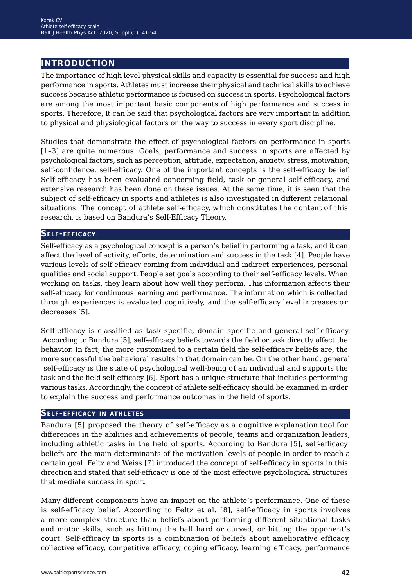# **introduction**

The importance of high level physical skills and capacity is essential for success and high performance in sports. Athletes must increase their physical and technical skills to achieve success because athletic performance is focused on success in sports. Psychological factors are among the most important basic components of high performance and success in sports. Therefore, it can be said that psychological factors are very important in addition to physical and physiological factors on the way to success in every sport discipline.

Studies that demonstrate the effect of psychological factors on performance in sports [1–3] are quite numerous. Goals, performance and success in sports are affected by psychological factors, such as perception, attitude, expectation, anxiety, stress, motivation, self-confidence, self-efficacy. One of the important concepts is the self-efficacy belief. Self-efficacy has been evaluated concerning field, task or general self-efficacy, and extensive research has been done on these issues. At the same time, it is seen that the subject of self-efficacy in sports and athletes is also investigated in different relational situations. The concept of athlete self-efficacy, which constitutes the content of this research, is based on Bandura's Self-Efficacy Theory.

#### **Self-efficacy**

Self-efficacy as a psychological concept is a person's belief in performing a task, and it can affect the level of activity, efforts, determination and success in the task [4]. People have various levels of self-efficacy coming from individual and indirect experiences, personal qualities and social support. People set goals according to their self-efficacy levels. When working on tasks, they learn about howwell they perform. This information affects their self-efficacy for continuous learning and performance. The information which is collected through experiences is evaluated cognitively, and the self-efficacy level increases or decreases [5].

Self-efficacy is classified as task specific, domain specific and general self-efficacy. According to Bandura [5], self-efficacy beliefs towards the field or task directly affect the behavior. In fact, the more customized to a certain field the self-efficacy beliefs are, the more successful the behavioral results in that domain can be. On the other hand, general self-efficacy is the state of psychological well-being of an individual and supports the task and the field self-efficacy [6]. Sport has a unique structure that includes performing various tasks. Accordingly, the concept of athlete self-efficacy should be examined in order to explain the success and performance outcomes in the field of sports.

#### **Self-efficacy in athletes**

Bandura [5] proposed the theory of self-efficacy as a cognitive explanation tool for differences in the abilities and achievements of people, teams and organization leaders, including athletic tasks in the field of sports. According to Bandura [5], self-efficacy beliefs are the main determinants of the motivation levels of people in order to reach a certain goal. Feltz and Weiss [7] introduced the concept of self-efficacy in sports this direction and stated that self-efficacy is one of the most effective psychological structures that mediate success in sport.

Many different components have an impact on the athlete's performance. One of these is self-efficacy belief. According to Feltz et al. [8], self-efficacy in sports involves a more complex structure than beliefs about performing different situational tasks and motor skills, such as hitting the ball hard or curved, or hitting the opponent's court. Self-efficacy in sports is a combination of beliefs about ameliorative efficacy, collective efficacy, competitive efficacy, coping efficacy, learning efficacy, performance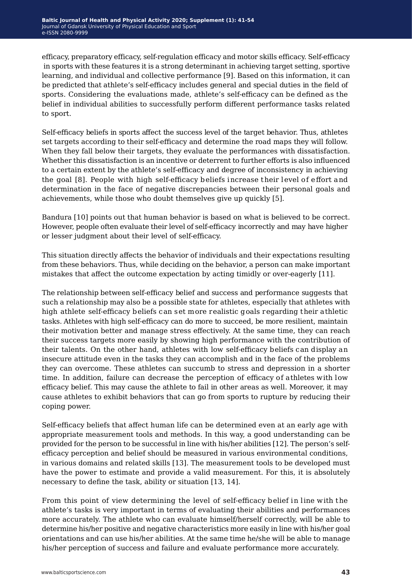efficacy, preparatory efficacy, self-regulation efficacy and motor skills efficacy. Self-efficacy in sports with these features it is a strong determinant in achieving target setting, sportive learning, and individual and collective performance [9]. Based on this information, it can be predicted that athlete's self-efficacy includes general and special duties in the field of sports. Considering the evaluations made, athlete's self-efficacy can be defined as the belief in individual abilities to successfully perform different performance tasks related to sport.

Self-efficacy beliefs in sports affect the success level of the target behavior. Thus, athletes set targets according to their self-efficacy and determine the road maps they will follow. When they fall below their targets, they evaluate the performances with dissatisfaction. Whether this dissatisfaction is an incentive or deterrent to further efforts is also influenced to a certain extent by the athlete's self-efficacy and degree of inconsistency in achieving the goal [8]. People with high self-efficacy beliefs increase their level of effort and determination in the face of negative discrepancies between their personal goals and achievements, while those who doubt themselves give up quickly [5].

Bandura [10] points out that human behavior is based on what is believed to be correct. However, people often evaluate their level of self-efficacy incorrectly and may have higher or lesser judgment about their level of self-efficacy.

This situation directly affects the behavior of individuals and their expectations resulting from these behaviors. Thus, while deciding on the behavior, a person can make important mistakes that affect the outcome expectation by acting timidly or over-eagerly [11].

The relationship between self-efficacy belief and success and performance suggests that such a relationship may also be a possible state for athletes, especially that athletes with high athlete self-efficacy beliefs can set more realistic goals regarding their athletic tasks. Athletes with high self-efficacy can do more to succeed, be more resilient, maintain their motivation better and manage stress effectively. At the same time, they can reach their success targets more easily by showing high performance with the contribution of their talents. On the other hand, athletes with low self-efficacy beliefs can display an insecure attitude even in the tasks they can accomplish and in the face of the problems they can overcome. These athletes can succumb to stress and depression in a shorter time. In addition, failure can decrease the perception of efficacy of athletes with low efficacy belief. This may cause the athlete to fail in other areas as well. Moreover, it may cause athletes to exhibit behaviors that can go from sports to rupture by reducing their coping power.

Self-efficacy beliefs that affect human life can be determined even at an early age with appropriate measurement tools and methods. In this way, a good understanding can be provided for the person to be successful in line with his/her abilities [12]. The person's selfefficacy perception and belief should be measured in various environmental conditions, in various domains and related skills [13]. The measurement tools to be developed must have the power to estimate and provide a valid measurement. For this, it is absolutely necessary to define the task, ability or situation [13, 14].

From this point of view determining the level of self-efficacy belief in line with the athlete's tasks is very important in terms of evaluating their abilities and performances more accurately. The athlete who can evaluate himself/herself correctly, will be able to determine his/her positive and negative characteristics more easily in line with his/her goal orientations and can use his/her abilities. At the same time he/she will be able to manage his/her perception of success and failure and evaluate performance more accurately.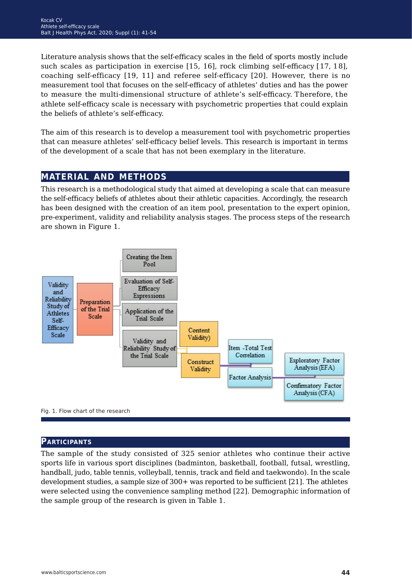Literature analysis shows that the self-efficacy scales in the field of sports mostly include such scales as participation in exercise [15, 16], rock climbing self-efficacy [17, 18], coaching self-efficacy [19, 11] and referee self-efficacy [20]. However, there is no measurement tool that focuses on the self-efficacy of athletes' duties and has the power to measure the multi-dimensional structure of athlete's self-efficacy. Therefore, the athlete self-efficacy scale is necessary with psychometric properties that could explain the beliefs of athlete's self-efficacy.

The aim of this research is to develop a measurement tool with psychometric properties that can measure athletes' self-efficacy belief levels. This research is important in terms of the development of a scale that has not been exemplary in the literature.

# **material and methods**

This research is a methodological study that aimed at developing a scale that can measure the self-efficacy beliefs of athletes about their athletic capacities. Accordingly, the research has been designed with the creation of an item pool, presentation to the expert opinion, pre-experiment, validity and reliability analysis stages. The process steps of the research are shown in Figure 1.



#### **Participants**

The sample of the study consisted of 325 senior athletes who continue their active sports life in various sport disciplines (badminton, basketball, football, futsal, wrestling, handball, judo, table tennis, volleyball, tennis, track and field and taekwondo). In the scale development studies, a sample size of 300+ was reported to be sufficient [21]. The athletes were selected using the convenience sampling method [22]. Demographic information of the sample group of the research is given in Table 1.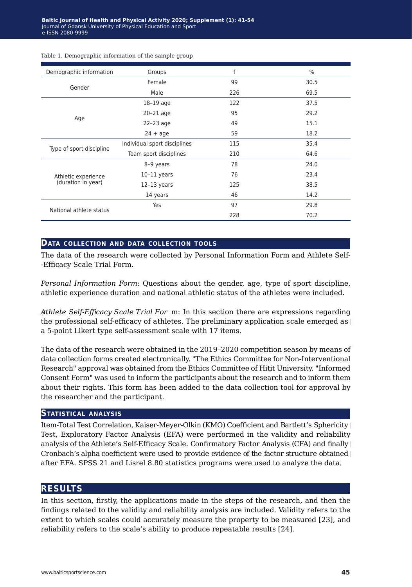| Groups                       | f   | $\%$ |
|------------------------------|-----|------|
| Female                       | 99  | 30.5 |
| Male                         | 226 | 69.5 |
| $18-19$ age                  | 122 | 37.5 |
| $20-21$ age                  | 95  | 29.2 |
| $22-23$ age                  | 49  | 15.1 |
| $24 + aqe$                   | 59  | 18.2 |
| Individual sport disciplines | 115 | 35.4 |
| Team sport disciplines       | 210 | 64.6 |
| 8-9 years                    | 78  | 24.0 |
| $10-11$ years                | 76  | 23.4 |
| $12-13$ years                | 125 | 38.5 |
| 14 years                     | 46  | 14.2 |
| Yes                          | 97  | 29.8 |
|                              | 228 | 70.2 |
|                              |     |      |

#### Table 1. Demographic information of the sample group

#### **Data collection and data collection tools**

The data of the research were collected by Personal Information Form and Athlete Self- -Efficacy Scale Trial Form.

*Personal Information Form*: Questions about the gender, age, type of sport discipline, athletic experience duration and national athletic status of the athletes were included.

*Athlete Self-Effic or acy Scale Trial For* m: In this section there are expressions regarding the professional self-efficacy of athletes. The preliminary application scale emerged as a 5-point Likert type self-assessment scale with 17 items.

The data of the research were obtained in the 2019–2020 competition season by means of data collection forms created electronically. "The Ethics Committee for Non-Interventional Research" approval was obtained from the Ethics Committee of Hitit University. "Informed Consent Form" was used to inform the participants about the research and to inform them about their rights. This form has been added to the data collection tool for approval by the researcher and the participant.

#### **Statistical analysis**

Item-Total Test Correlation, Kaiser-Meyer-Olkin (KMO) Coefficient and Bartlett's Sphericity Test, Exploratory Factor Analysis (EFA) were performed in the validity and reliability analysis of the Athlete's Self-Efficacy Scale. Confirmatory Factor Analysis (CFA) and finally Cronbach's alpha coefficient were used to provide evidence of the factor structure obtained after EFA. SPSS 21 and Lisrel 8.80 statistics programs were used to analyze the data.

### **results**

In this section, firstly, the applications made in the steps of the research, and then the findings related to the validity and reliability analysis are included. Validity refers to the extent to which scales could accurately measure the property to be measured [23], and reliability refers to the scale's ability to produce repeatable results [24].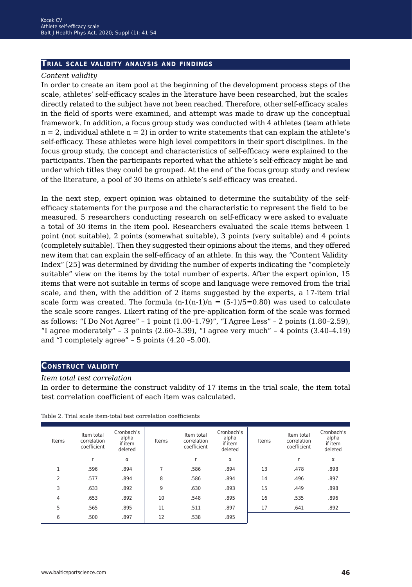#### **Trial scale validity analysis and findings**

#### *Content validity*

In order to create an item pool at the beginning of the development process steps of the scale, athletes' self-efficacy scales in the literature have been researched, but the scales directly related to the subject have not been reached. Therefore, other self-efficacy scales in the field of sports were examined, and attempt was made to draw up the conceptual framework. In addition, a focus group study was conducted with 4 athletes (team athlete  $n = 2$ , individual athlete  $n = 2$ ) in order to write statements that can explain the athlete's self-efficacy. These athletes were high level competitors in their sport disciplines. In the focus group study, the concept and characteristics of self-efficacy were explained to the participants. Then the participants reported what the athlete's self-efficacy might be and under which titles they could be grouped. At the end of the focus group study and review of the literature, a pool of 30 items on athlete's self-efficacy was created.

In the next step, expert opinion was obtained to determine the suitability of the selfefficacy statements for the purpose and characteristic to represent the field to be measured. 5 researchers conducting research on self-efficacy were asked to evaluate a total of 30 items in the item pool. Researchers evaluated the scale items between 1 point (not suitable), 2 points (somewhat suitable), 3 points (very suitable) and 4 points (completely suitable). Then they suggested their opinions about the items, and they offered new item that can explain the self-efficacy of an athlete. In this way, the "Content Validity Index" [25] was determined by dividing the number of experts indicating the "completely suitable" view on the items by the total number of experts. After the expert opinion, 15 items that were not suitable in terms of scope and language were removed from the trial scale, and then, with the addition of 2 items suggested by the experts, a 17-item trial scale form was created. The formula  $(n-1(n-1)/n) = (5-1)/5 = 0.80$  was used to calculate the scale score ranges. Likert rating of the pre-application form of the scale was formed as follows: "I Do Not Agree" – 1 point (1.00–1.79)", "I Agree Less" – 2 points (1.80–2.59), "I agree moderately" - 3 points  $(2.60-3.39)$ , "I agree very much" - 4 points  $(3.40-4.19)$ and "I completely agree" – 5 points (4.20 –5.00).

#### **Construct validity**

#### *Item total test correlation*

In order to determine the construct validity of 17 items in the trial scale, the item total test correlation coefficient of each item was calculated.

| Items          | Item total<br>correlation<br>coefficient | Cronbach's<br>alpha<br>if item<br>deleted | Items | Item total<br>correlation<br>coefficient | Cronbach's<br>alpha<br>if item<br>deleted | Items | Item total<br>correlation<br>coefficient | Cronbach's<br>alpha<br>if item<br>deleted |
|----------------|------------------------------------------|-------------------------------------------|-------|------------------------------------------|-------------------------------------------|-------|------------------------------------------|-------------------------------------------|
|                |                                          | $\alpha$                                  |       | ×                                        | $\alpha$                                  |       | r                                        | α                                         |
|                | .596                                     | .894                                      |       | .586                                     | .894                                      | 13    | .478                                     | .898                                      |
| 2              | .577                                     | .894                                      | 8     | .586                                     | .894                                      | 14    | .496                                     | .897                                      |
| 3              | .633                                     | .892                                      | 9     | .630                                     | .893                                      | 15    | .449                                     | .898                                      |
| $\overline{4}$ | .653                                     | .892                                      | 10    | .548                                     | .895                                      | 16    | .535                                     | .896                                      |
| 5              | .565                                     | .895                                      | 11    | .511                                     | .897                                      | 17    | .641                                     | .892                                      |
| 6              | .500                                     | .897                                      | 12    | .538                                     | .895                                      |       |                                          |                                           |
|                |                                          |                                           |       |                                          |                                           |       |                                          |                                           |

Table 2. Trial scale item-total test correlation coefficients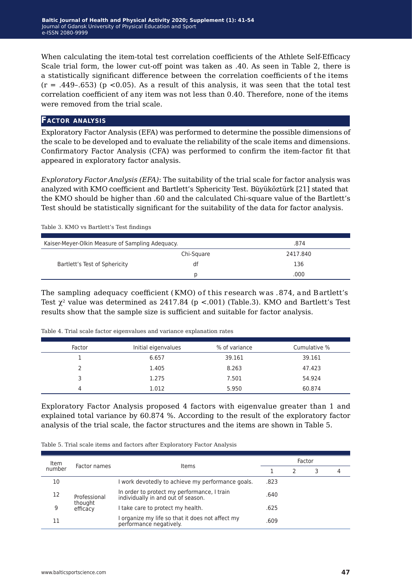When calculating the item-total test correlation coefficients of the Athlete Self-Efficacy Scale trial form, the lower cut-off point was taken as .40. As seen in Table 2, there is a statistically significant difference between the correlation coefficients of the items  $(r = .449-.653)$  (p <0.05). As a result of this analysis, it was seen that the total test correlation coefficient of any item was not less than 0.40. Therefore, none of the items were removed from the trial scale.

### **Factor analysis**

Exploratory Factor Analysis (EFA) was performed to determine the possible dimensions of the scale to be developed and to evaluate the reliability of the scale items and dimensions. Confirmatory Factor Analysis (CFA) was performed to confirm the item-factor fit that appeared in exploratory factor analysis.

*ExploratoryFactor Analysis (EFA)*: The suitability of the trial scale for factor analysis was analyzed with KMO coefficient and Bartlett's Sphericity Test. Büyüköztürk [21] stated that the KMO should be higher than .60 and the calculated Chi-square value of the Bartlett's Test should be statistically significant for the suitability of the data for factor analysis.

|  |  | Table 3. KMO vs Bartlett's Test findings |  |
|--|--|------------------------------------------|--|
|  |  |                                          |  |

| Kaiser-Meyer-Olkin Measure of Sampling Adequacy. | .874       |          |
|--------------------------------------------------|------------|----------|
|                                                  | Chi-Square | 2417.840 |
| Bartlett's Test of Sphericity                    | df         | 136      |
|                                                  |            | .000     |

The sampling adequacy coefficient (KMO) of this research was .874, and Bartlett's Test  $\chi^2$  value was determined as 2417.84 (p <.001) (Table.3). KMO and Bartlett's Test results show that the sample size is sufficient and suitable for factor analysis.

| Factor | Initial eigenvalues | % of variance | Cumulative % |
|--------|---------------------|---------------|--------------|
|        | 6.657               | 39.161        | 39.161       |
|        | 1.405               | 8.263         | 47.423       |
|        | 1.275               | 7.501         | 54.924       |
|        | 1.012               | 5.950         | 60.874       |

Exploratory Factor Analysis proposed 4 factors with eigenvalue greater than 1 and explained total variance by 60.874 %. According to the result of the exploratory factor analysis of the trial scale, the factor structures and the items are shown in Table 5.

| Table 5. Trial scale items and factors after Exploratory Factor Analysis |  |  |
|--------------------------------------------------------------------------|--|--|
|--------------------------------------------------------------------------|--|--|

| Item   |                     |                                                                                   |      | Factor |  |
|--------|---------------------|-----------------------------------------------------------------------------------|------|--------|--|
| number | Factor names        | <b>Items</b>                                                                      |      |        |  |
| 10     |                     | I work devotedly to achieve my performance goals.                                 | .823 |        |  |
| 12     | Professional        | In order to protect my performance, I train<br>individually in and out of season. | .640 |        |  |
| 9      | thought<br>efficacy | I take care to protect my health.                                                 | .625 |        |  |
|        |                     | I organize my life so that it does not affect my<br>performance negatively.       | .609 |        |  |
|        |                     |                                                                                   |      |        |  |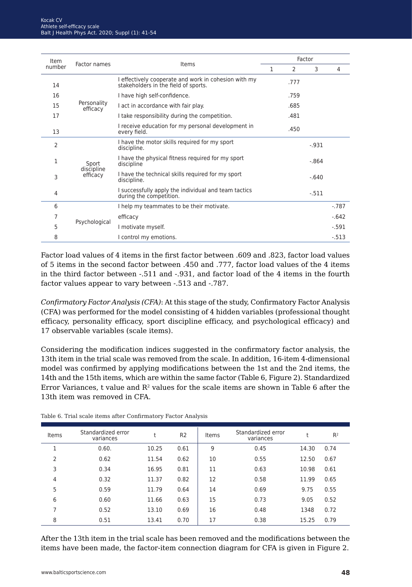| Item<br>Factor names<br>number |                         |                                                                                              |   |               | Factor   |         |
|--------------------------------|-------------------------|----------------------------------------------------------------------------------------------|---|---------------|----------|---------|
|                                |                         | Items                                                                                        | 1 | $\mathcal{P}$ | 3        | 4       |
| 14                             |                         | I effectively cooperate and work in cohesion with my<br>stakeholders in the field of sports. |   | .777          |          |         |
| 16                             |                         | I have high self-confidence.                                                                 |   | .759          |          |         |
| 15                             | Personality<br>efficacy | I act in accordance with fair play.                                                          |   | .685          |          |         |
| 17                             |                         | I take responsibility during the competition.                                                |   | .481          |          |         |
| 13                             |                         | I receive education for my personal development in<br>every field.                           |   | .450          |          |         |
| 2                              |                         | I have the motor skills required for my sport<br>discipline.                                 |   |               | $-0.931$ |         |
| 1                              | Sport                   | I have the physical fitness required for my sport<br>discipline                              |   |               | $-.864$  |         |
| 3                              | discipline<br>efficacy  | I have the technical skills required for my sport<br>discipline.                             |   |               | $-.640$  |         |
| 4                              |                         | I successfully apply the individual and team tactics<br>during the competition.              |   |               | $-.511$  |         |
| 6                              |                         | I help my teammates to be their motivate.                                                    |   |               |          | $-.787$ |
| 7                              |                         | efficacy                                                                                     |   |               |          | $-.642$ |
| 5                              | Psychological           | I motivate myself.                                                                           |   |               |          | $-.591$ |
| 8                              |                         | I control my emotions.                                                                       |   |               |          | $-.513$ |

Factor load values of 4 items in the first factor between .609 and .823, factor load values of 5 items in the second factor between .450 and .777, factor load values of the 4 items in the third factor between -.511 and -.931, and factor load of the 4 items in the fourth factor values appear to vary between -.513 and -.787.

*ConfirmatoryFactor Analysis (CFA)*: At this stage of the study, Confirmatory Factor Analysis (CFA) was performed for the model consisting of 4 hidden variables (professional thought efficacy, personality efficacy, sport discipline efficacy, and psychological efficacy) and 17 observable variables (scale items).

Considering the modification indices suggested in the confirmatory factor analysis, the 13th item in the trial scale was removed from the scale. In addition, 16-item 4-dimensional model was confirmed by applying modifications between the 1st and the 2nd items, the 14th and the 15th items, which are within the same factor (Table 6, Figure 2). Standardized Error Variances, t value and  $R<sup>2</sup>$  values for the scale items are shown in Table 6 after the 13th item was removed in CFA.

| Items          | Standardized error<br>variances |       | R <sub>2</sub> | Items | Standardized error<br>variances |       | R <sup>2</sup> |
|----------------|---------------------------------|-------|----------------|-------|---------------------------------|-------|----------------|
| ٠              | 0.60.                           | 10.25 | 0.61           | 9     | 0.45                            | 14.30 | 0.74           |
| $\overline{2}$ | 0.62                            | 11.54 | 0.62           | 10    | 0.55                            | 12.50 | 0.67           |
| 3              | 0.34                            | 16.95 | 0.81           | 11    | 0.63                            | 10.98 | 0.61           |
| 4              | 0.32                            | 11.37 | 0.82           | 12    | 0.58                            | 11.99 | 0.65           |
| 5              | 0.59                            | 11.79 | 0.64           | 14    | 0.69                            | 9.75  | 0.55           |
| 6              | 0.60                            | 11.66 | 0.63           | 15    | 0.73                            | 9.05  | 0.52           |
| 7              | 0.52                            | 13.10 | 0.69           | 16    | 0.48                            | 1348  | 0.72           |
| 8              | 0.51                            | 13.41 | 0.70           | 17    | 0.38                            | 15.25 | 0.79           |

Table 6. Trial scale items after Confirmatory Factor Analysis

After the 13th item in the trial scale has been removed and the modifications between the items have been made, the factor-item connection diagram for CFA is given in Figure 2.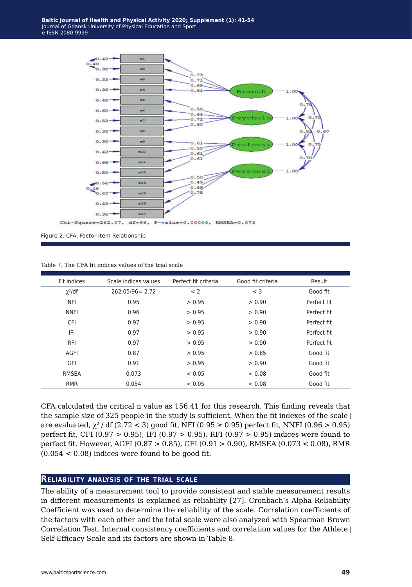

Figure 2. CFA, Factor-Item Relationship

Table 7. The CFA fit indices values of the trial scale

| Fit indices  | Scale indices values | Perfect fit criteria | Good fit criteria | Result      |
|--------------|----------------------|----------------------|-------------------|-------------|
| $\chi^2$ /df | $262.05/96 = 2.72$   | < 2                  | $<$ 3             | Good fit    |
| <b>NFI</b>   | 0.95                 | > 0.95               | > 0.90            | Perfect fit |
| <b>NNFI</b>  | 0.96                 | > 0.95               | > 0.90            | Perfect fit |
| <b>CFI</b>   | 0.97                 | > 0.95               | > 0.90            | Perfect fit |
| IFI          | 0.97                 | > 0.95               | > 0.90            | Perfect fit |
| <b>RFI</b>   | 0.97                 | > 0.95               | > 0.90            | Perfect fit |
| AGFI         | 0.87                 | > 0.95               | > 0.85            | Good fit    |
| GFI          | 0.91                 | > 0.95               | > 0.90            | Good fit    |
| <b>RMSEA</b> | 0.073                | < 0.05               | < 0.08            | Good fit    |
| <b>RMR</b>   | 0.054                | < 0.05               | < 0.08            | Good fit    |

CFA calculated the critical n value as 156.41 for this research. This finding reveals that the sample size of 325 people in the study is sufficient. When the fit indexes of the scale are evaluated,  $\chi^2$  / df (2.72 < 3) good fit, NFI (0.95  $\geq$  0.95) perfect fit, NNFI (0.96 > 0.95) perfect fit, CFI (0.97 > 0.95), IFI (0.97 > 0.95), RFI (0.97 > 0.95) indices were found to perfect fit. However, AGFI (0.87 > 0.85), GFI (0.91 > 0.90), RMSEA (0.073 < 0.08), RMR  $(0.054 < 0.08)$  indices were found to be good fit.

## **Reliability analysis of the trial scale**

The ability of a measurement tool to provide consistent and stable measurement results in different measurements is explained as reliability [27]. Cronbach's Alpha Reliability Coefficient was used to determine the reliability of the scale. Correlation coefficients of the factors with each other and the total scale were also analyzed with Spearman Brown Correlation Test. Internal consistency coefficients and correlation values for the Athlete Self-Efficacy Scale and its factors are shown in Table 8.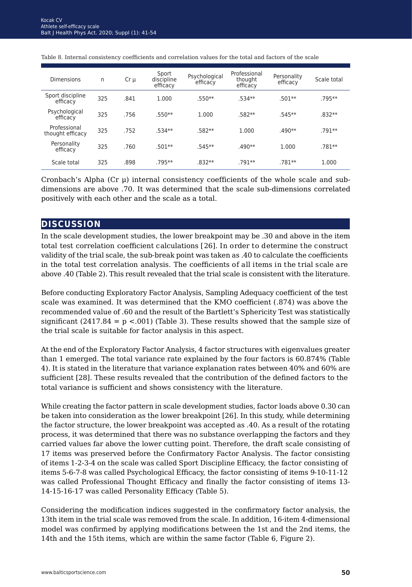| <b>Dimensions</b>                | n   | $Cr \mu$ | Sport<br>discipline<br>efficacy | Psychological<br>efficacy | Professional<br>thought<br>efficacy | Personality<br>efficacy | Scale total |
|----------------------------------|-----|----------|---------------------------------|---------------------------|-------------------------------------|-------------------------|-------------|
| Sport discipline<br>efficacy     | 325 | .841     | 1.000                           | .550**                    | .534**                              | $.501**$                | .795**      |
| Psychological<br>efficacy        | 325 | .756     | .550**                          | 1.000                     | .582**                              | .545**                  | .832**      |
| Professional<br>thought efficacy | 325 | .752     | .534**                          | .582**                    | 1.000                               | $.490**$                | .791**      |
| Personality<br>efficacy          | 325 | .760     | $.501**$                        | .545**                    | .490**                              | 1.000                   | .781**      |
| Scale total                      | 325 | .898     | $.795***$                       | .832**                    | $.791**$                            | .781**                  | 1.000       |

Table 8. Internal consistency coefficients and correlation values for the total and factors of the scale

Cronbach's Alpha (Cr μ) internal consistency coefficients of the whole scale and subdimensions are above .70. It was determined that the scale sub-dimensions correlated positively with each other and the scale as a total.

## **discussion**

In the scale development studies, the lower breakpoint may be .30 and above in the item total test correlation coefficient calculations [26]. In order to determine the construct validity of the trial scale, the sub-break point was taken as .40 to calculate the coefficients in the total test correlation analysis. The coefficients of all items in the trial scale are above .40 (Table 2). This result revealed that the trial scale is consistent with the literature.

Before conducting Exploratory Factor Analysis, Sampling Adequacy coefficient of the test scale was examined. It was determined that the KMO coefficient (.874) was above the recommended value of .60 and the result of the Bartlett's Sphericity Test was statistically significant  $(2417.84 = p \lt 0.001)$  (Table 3). These results showed that the sample size of the trial scale is suitable for factor analysis in this aspect.

At the end of the Exploratory Factor Analysis, 4 factor structures with eigenvalues greater than 1 emerged. The total variance rate explained by the four factors is 60.874% (Table 4). It is stated in the literature that variance explanation rates between 40% and 60% are sufficient [28]. These results revealed that the contribution of the defined factors to the total variance is sufficient and shows consistency with the literature.

While creating the factor pattern in scale development studies, factor loads above 0.30 can be taken into consideration as the lower breakpoint [26]. In this study, while determining the factor structure, the lower breakpoint was accepted as .40. As a result of the rotating process, it was determined that there was no substance overlapping the factors and they carried values far above the lower cutting point. Therefore, the draft scale consisting of 17 items was preserved before the Confirmatory Factor Analysis. The factor consisting of items 1-2-3-4 on the scale was called Sport Discipline Efficacy, the factor consisting of items 5-6-7-8 was called Psychological Efficacy, the factor consisting of items 9-10-11-12 was called Professional Thought Efficacy and finally the factor consisting of items 13- 14-15-16-17 was called Personality Efficacy (Table 5).

Considering the modification indices suggested in the confirmatory factor analysis, the 13th item in the trial scale was removed from the scale. In addition, 16-item 4-dimensional model was confirmed by applying modifications between the 1st and the 2nd items, the 14th and the 15th items, which are within the same factor (Table 6, Figure 2).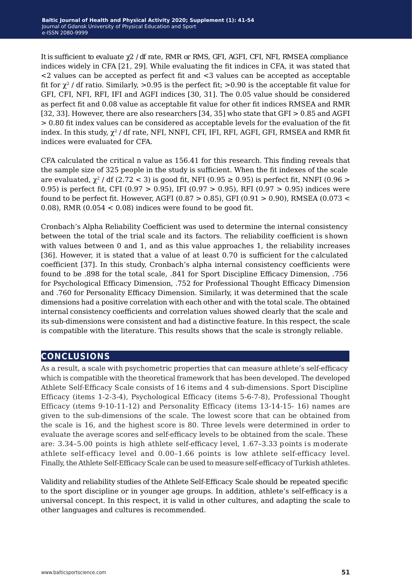It is sufficient to evaluate χ2 / df rate, RMR or RMS, GFI, AGFI, CFI, NFI, RMSEA compliance indices widely in CFA [21, 29]. While evaluating the fit indices in CFA, it was stated that <2 values can be accepted as perfect fit and <3 values can be accepted as acceptable fit for  $\chi^2$  / df ratio. Similarly, >0.95 is the perfect fit; >0.90 is the acceptable fit value for GFI, CFI, NFI, RFI, IFI and AGFI indices [30, 31]. The 0.05 value should be considered as perfect fit and 0.08 value as acceptable fit value for other fit indices RMSEA and RMR [32, 33]. However, there are also researchers [34, 35] who state that GFI > 0.85 and AGFI > 0.80 fit index values can be considered as acceptable levels for the evaluation of the fit index. In this study,  $\chi^2$  / df rate, NFI, NNFI, CFI, IFI, RFI, AGFI, GFI, RMSEA and RMR fit indices were evaluated for CFA.

CFA calculated the critical n value as 156.41 for this research. This finding reveals that the sample size of 325 people in the study is sufficient. When the fit indexes of the scale are evaluated,  $\chi^2$  / df (2.72 < 3) is good fit, NFI (0.95  $\geq$  0.95) is perfect fit, NNFI (0.96  $>$ 0.95) is perfect fit, CFI (0.97 > 0.95), IFI (0.97 > 0.95), RFI (0.97 > 0.95) indices were found to be perfect fit. However, AGFI (0.87 > 0.85), GFI (0.91 > 0.90), RMSEA (0.073 < 0.08), RMR ( $0.054 < 0.08$ ) indices were found to be good fit.

Cronbach's Alpha Reliability Coefficient was used to determine the internal consistency between the total of the trial scale and its factors. The reliability coefficient is shown with values between 0 and 1, and as this value approaches 1, the reliability increases [36]. However, it is stated that a value of at least 0.70 is sufficient for the calculated coefficient [37]. In this study, Cronbach's alpha internal consistency coefficients were found to be .898 for the total scale, .841 for Sport Discipline Efficacy Dimension, .756 for Psychological Efficacy Dimension, .752 for Professional Thought Efficacy Dimension and .760 for Personality Efficacy Dimension. Similarly, it was determined that the scale dimensions had a positive correlation with each other and with the total scale. The obtained internal consistency coefficients and correlation values showed clearly that the scale and its sub-dimensions were consistent and had a distinctive feature. In this respect, the scale is compatible with the literature. This results shows that the scale is strongly reliable.

# **conclusions**

As a result, a scale with psychometric properties that can measure athlete's self-efficacy which is compatible with the theoretical framework that has been developed. The developed Athlete Self-Efficacy Scale consists of 16 items and 4 sub-dimensions. Sport Discipline Efficacy (items 1-2-3-4), Psychological Efficacy (items 5-6-7-8), Professional Thought Efficacy (ıtems 9-10-11-12) and Personality Efficacy (items 13-14-15- 16) names are given to the sub-dimensions of the scale. The lowest score that can be obtained from the scale is 16, and the highest score is 80. Three levels were determined in order to evaluate the average scores and self-efficacy levels to be obtained from the scale. These are: 3.34–5.00 points is high athlete self-efficacy level, 1.67–3.33 points is moderate athlete self-efficacy level and 0.00–1.66 points is low athlete self-efficacy level. Finally, the Athlete Self-Efficacy Scale can be used to measure self-efficacy of Turkish athletes.

Validity and reliability studies of the Athlete Self-Efficacy Scale should be repeated specific to the sport discipline or in younger age groups. In addition, athlete's self-efficacy is a universal concept. In this respect, it is valid in other cultures, and adapting the scale to other languages and cultures is recommended.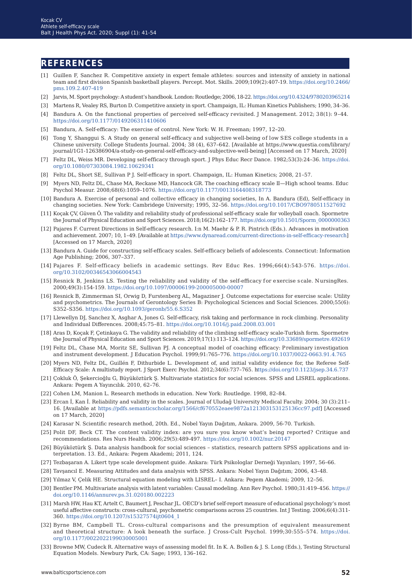## **references**

- [1] Guillen F, Sanchez R. Competitive anxiety in expert female athletes: sources and intensity of anxiety in national team and first division Spanish basketball players. Percept. Mot. Skills. 2009;109(2):407-19. [https://doi.org/10.2466/](https://doi.org/10.2466/pms.109.2.407-419) [pms.109.2.407-419](https://doi.org/10.2466/pms.109.2.407-419)
- [2] Jarvis, M. Sport psychology: A student's handbook. London: Routledge; 2006, 18-22. [https://doi.org/10.4324/9780203965214](https://doi.org/10.4324/9780203965214 )
- [3] Martens R, Vealey RS, Burton D. Competitive anxiety in sport. Champaign, IL: Human Kinetics Publishers; 1990, 34–36.
- [4] Bandura A. On the functional properties of perceived self-efficacy revisited. J Management. 2012; 38(1): 9–44. <https://doi.org/10.1177/0149206311410606>
- [5] Bandura, A. Self-efficacy: The exercise of control. New York: W. H. Freeman; 1997, 12–20.
- [6] Tong Y, Shanggui S. A Study on general self-efficacy and subjective well-being of low SES college students in a Chinese university. College Students Journal. 2004; 38 (4), 637–642. [Available at https://www.questia.com/library/ journal/1G1-126386904/a-study-on-general-self-efficacy-and-subjective-well-being] [Accessed on 17 March, 2020]
- [7] Feltz DL, Weiss MR. Developing self-efficacy through sport. J Phys Educ Recr Dance. 1982;53(3):24–36. [https://doi.](https://doi.org/10.1080/07303084.1982.10629341) [org/10.1080/07303084.1982.10629341](https://doi.org/10.1080/07303084.1982.10629341)
- [8] Feltz DL, Short SE, Sullivan P J. Self-efficacy in sport. Champaign, IL: Human Kinetics; 2008, 21–57.
- [9] Myers ND, Feltz DL, Chase MA, Reckase MD, Hancock GR. The coaching efficacy scale II—High school teams. Educ Psychol Measur. 2008;68(6):1059–1076. [https://doi.org/10.1177/0013164408318773](https://doi.org/10.1177/0013164408318773 )
- [10] Bandura A. Exercise of personal and collective efficacy in changing societies, In A. Bandura (Ed), Self-efficacy in changing societies. NewYork: Cambridege University; 1995, 32–56. [https://doi.org/10.1017/CBO9780511527692](https://doi.org/10.1017/CBO9780511527692 )
- [11] Koçak ÇV, Güven Ö. The validity and reliability study of professional self-efficacy scale for volleyball coach. Spormetre the Journal of Physical Education and Sport Sciences. 2018;16(2):162-177. [https://doi.org/10.1501/Sporm\\_0000000363](https://doi.org/10.1501/Sporm_0000000363 )
- [12] Pajares F. Current Directions in Self-efficacy research. I:n M. Maehr & P. R. Pintrich (Eds.). Advances in motivation and achievement. 2007; 10, 1–49. [Available at<https://www.dynaread.com/current-directions-in-self-efficacy-researc>h] [Accessed on 17 March, 2020]
- [13] Bandura A. Guide for constructing self-efficacy scales. Self-efficacy beliefs of adolescents. Connecticut: Information Age Publishing; 2006, 307–337.
- [14] Pajares F. Self-efficacy beliefs in academic settings. Rev Educ Res. 1996;66(4):543-576. [https://doi.](https://doi.org/10.3102/00346543066004543 ) [org/10.3102/00346543066004543](https://doi.org/10.3102/00346543066004543 )
- [15] Resnick B, Jenkins LS. Testing the reliability and validity of the self-efficacy for exercise scale. NursingRes. 2000;49(3):154-159.<https://doi.org/10.1097/00006199-200005000-00007>
- [16] Resnick B, Zimmerman SI, Orwig D, Furstenberg AL, Magaziner J. Outcome expectations for exercise scale: Utility and psychometrics. The Journals of Gerontology Series B: Psychological Sciences and Social Sciences. 2000;55(6): S352–S356. <https://doi.org/10.1093/geronb/55.6.S352>
- [17] Llewellyn DJ, Sanchez X, Asghar A, Jones G. Self-efficacy, risk taking and performance in rock climbing. Personality and Individual Differences. 2008;45:75–81. <https://doi.org/10.1016/j.paid.2008.03.001>
- [18] Aras D, Koçak F, Çetinkaya G. The validity and reliability of the climbing self-efficacy scale-Turkish form. Spormetre the Journal of Physical Education and Sport Sciences. 2019;17(1):113–124. [https://doi.org/10.33689/spormetre.492619](https://doi.org/10.33689/spormetre.492619 )
- [19] Feltz DL, Chase MA, Moritz SE, Sullivan PJ. A conceptual model of coaching efficacy: Preliminary investigation and instrument development. J Education Psychol. 1999;91:765–776. [https://doi.org/10.1037/0022-0663.91.4.765](https://doi.org/10.1037/0022-0663.91.4.765 )
- [20] Myers ND, Feltz DL, Guillén F, Dithurbide L. Development of, and initial validity evidence for, the Referee Self-Efficacy Scale: A multistudy report. J Sport Exerc Psychol. 2012;34(6):737–765. <https://doi.org/10.1123/jsep.34.6.737>
- [21] Çokluk Ö, Şekercioğlu G, Büyüköztürk Ş. Multivariate statistics for social sciences. SPSS and LISREL applications. Ankara: Pegem A Yayıncılık. 2010, 62–76.
- [22] Cohen LM, Manion L. Research methods in education. NewYork: Routledge. 1998, 82–84.
- [23] Ercan İ, Kan İ. Reliability and validity in the scales. Journal of Uludağ University Medical Faculty. 2004; 30 (3):211– 16. [Available at <https://pdfs.semanticscholar.org/1566/cf670552eaee9872a121303153125136cc97.pdf>] [Accessed on 17 March, 2020]
- [24] Karasar N. Scientific research method, 20th. Ed., Nobel Yayın Dağıtım, Ankara. 2009, 56-70. Turkish.
- [25] Polit DF, Beck CT. The content validity index: are you sure you know what's being reported? Critique and recommendations. Res Nurs Health. 2006;29(5):489-497. <https://doi.org/10.1002/nur.20147>
- [26] Büyüköztürk Ş. Data analysis handbook for social sciences statistics, research pattern SPSS applications and interpretation. 13. Ed., Ankara: Pegem Akademi; 2011, 124.
- [27] Tezbaşaran A. Likert type scale development guide. Ankara: Türk Psikologlar Derneği Yayınları; 1997, 56–66.
- [28] Tavşancıl E. Measuring Attitudes and data analysis with SPSS. Ankara: Nobel Yayın Dağıtım; 2006, 43–48.
- [29]Yılmaz V, Çelik HE. Structural equation modeling with LISREL– I. Ankara: Pegem Akademi; 2009, 12–56.
- [30] Bentler PM. Multivariate analysis with latent variables: Causal modeling. Ann Rev Psychol. 1980;31:419–456. [https://](https://doi.org/10.1146/annurev.ps.31.020180.002223) [doi.org/10.1146/annurev.ps.31.020180.002223](https://doi.org/10.1146/annurev.ps.31.020180.002223)
- [31] Marsh HW, Hau KT, Artelt C, Baumert J, Peschar JL. OECD's brief self-report measure of educational psychology's most useful affective constructs: cross-cultural, psychometric comparisons across 25 countries. Int J Testing. 2006;6(4):311- 360. [https://doi.org/10.1207/s15327574ijt0604\\_1](https://doi.org/10.1207/s15327574ijt0604_1)
- [32] Byrne BM, Campbell TL. Cross-cultural comparisons and the presumption of equivalent measurement and theoretical structure: A look beneath the surface. J Cross-Cult Psychol. 1999;30:555–574. [https://doi.](https://doi.org/10.1177/0022022199030005001 ) [org/10.1177/0022022199030005001](https://doi.org/10.1177/0022022199030005001 )
- [33] Browne MW, Cudeck R. Alternative ways of assessing model fit. In K. A. Bollen & J. S. Long (Eds.), Testing Structural Equation Models. Newbury Park, CA: Sage; 1993, 136–162.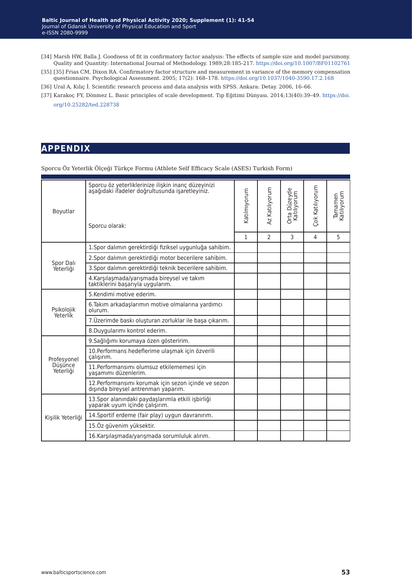- [34] Marsh HW, Balla J. Goodness of fit in confirmatory factor analysis: The effects of sample size and model parsimony. Quality and Quantity: International Journal of Methodology. 1989;28:185-217. [https://doi.org/10.1007/BF01102761](https://doi.org/10.1007/BF01102761 )
- [35] [35] Frias CM, Dixon RA. Confirmatory factor structure and measurement in variance of the memory compensation questionnaire. Psychological Assessment. 2005; 17(2): 168–178.<https://doi.org/10.1037/1040-3590.17.2.168>
- [36] Ural A, Kılıç İ. Scientific research process and data analysis with SPSS. Ankara: Detay. 2006, 16–66.

# **appendix**

Sporcu Öz Yeterlik Ölçeği Türkçe Formu (Athlete Self Efficacy Scale (ASES) Turkish Form)

| Boyutlar<br>Spor Dalı<br>Yeterliği<br>Psikolojik<br>Yeterlik<br>Profesyonel<br>Düşünce<br>Yeterliği<br>Kişilik Yeterliği                                                                                                                                                                                                                                                                                                                                      | Sporcu öz yeterliklerinize ilişkin inanç düzeyinizi<br>asağıdaki ifadeler doğrultusunda işaretleyiniz. | Katılmıyorum | Az Katılıyorum | Orta Düzeyde<br>Katılıyorum | Çok Katılıyorum | Tamamen<br>Katılıyorum |
|---------------------------------------------------------------------------------------------------------------------------------------------------------------------------------------------------------------------------------------------------------------------------------------------------------------------------------------------------------------------------------------------------------------------------------------------------------------|--------------------------------------------------------------------------------------------------------|--------------|----------------|-----------------------------|-----------------|------------------------|
|                                                                                                                                                                                                                                                                                                                                                                                                                                                               | Sporcu olarak:                                                                                         |              |                |                             |                 |                        |
|                                                                                                                                                                                                                                                                                                                                                                                                                                                               |                                                                                                        | $\mathbf{1}$ | $\overline{2}$ | 3                           | 4               | 5                      |
|                                                                                                                                                                                                                                                                                                                                                                                                                                                               | 1. Spor dalımın gerektirdiği fiziksel uygunluğa sahibim.                                               |              |                |                             |                 |                        |
|                                                                                                                                                                                                                                                                                                                                                                                                                                                               | 2. Spor dalımın gerektirdiği motor becerilere sahibim.                                                 |              |                |                             |                 |                        |
|                                                                                                                                                                                                                                                                                                                                                                                                                                                               | 3. Spor dalımın gerektirdiği teknik becerilere sahibim.                                                |              |                |                             |                 |                        |
|                                                                                                                                                                                                                                                                                                                                                                                                                                                               | 4.Karşılaşmada/yarışmada bireysel ve takım<br>taktiklerini basarıyla uvgularım.                        |              |                |                             |                 |                        |
|                                                                                                                                                                                                                                                                                                                                                                                                                                                               | 5. Kendimi motive ederim.                                                                              |              |                |                             |                 |                        |
|                                                                                                                                                                                                                                                                                                                                                                                                                                                               | 6. Takım arkadaşlarımın motive olmalarına yardımcı<br>olurum.                                          |              |                |                             |                 |                        |
|                                                                                                                                                                                                                                                                                                                                                                                                                                                               | 7. Üzerimde baskı oluşturan zorluklar ile başa çıkarım.                                                |              |                |                             |                 |                        |
|                                                                                                                                                                                                                                                                                                                                                                                                                                                               | 8.Duygularımı kontrol ederim.                                                                          |              |                |                             |                 |                        |
|                                                                                                                                                                                                                                                                                                                                                                                                                                                               | 9. Sağlığımı korumaya özen gösteririm.                                                                 |              |                |                             |                 |                        |
| 10. Performans hedeflerime ulaşmak için özverili<br>calışırım.<br>11. Performansımı olumsuz etkilememesi için<br>vasamımı düzenlerim.<br>12. Performansımı korumak için sezon içinde ve sezon<br>dışında bireysel antrenman yaparım.<br>13. Spor alanındaki paydaşlarımla etkili işbirliği<br>yaparak uyum içinde çalışırım.<br>14. Sportif erdeme (fair play) uygun davranırım.<br>15.Öz güvenim yüksektir.<br>16. Karşılaşmada/yarışmada sorumluluk alırım. |                                                                                                        |              |                |                             |                 |                        |
|                                                                                                                                                                                                                                                                                                                                                                                                                                                               |                                                                                                        |              |                |                             |                 |                        |
|                                                                                                                                                                                                                                                                                                                                                                                                                                                               |                                                                                                        |              |                |                             |                 |                        |
|                                                                                                                                                                                                                                                                                                                                                                                                                                                               |                                                                                                        |              |                |                             |                 |                        |
|                                                                                                                                                                                                                                                                                                                                                                                                                                                               |                                                                                                        |              |                |                             |                 |                        |
|                                                                                                                                                                                                                                                                                                                                                                                                                                                               |                                                                                                        |              |                |                             |                 |                        |
|                                                                                                                                                                                                                                                                                                                                                                                                                                                               |                                                                                                        |              |                |                             |                 |                        |

<sup>[37]</sup> Karakoç FY, Dönmez L. Basic principles of scale development. Tıp Eğitimi Dünyası. 2014;13(40):39–49. [https://doi.](https://doi.org/10.25282/ted.228738 ) [org/10.25282/ted.228738](https://doi.org/10.25282/ted.228738 )